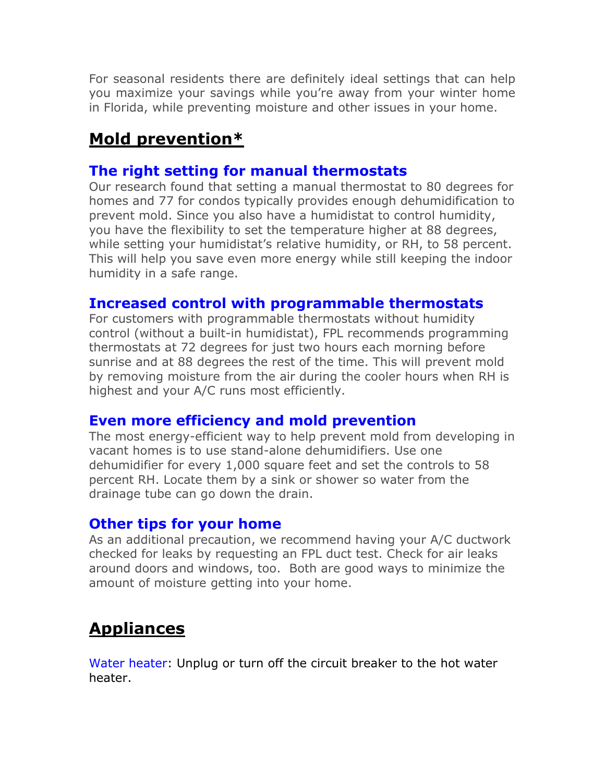For seasonal residents there are definitely ideal settings that can help you maximize your savings while you're away from your winter home in Florida, while preventing moisture and other issues in your home.

# **Mold prevention\***

## **The right setting for manual thermostats**

Our research found that setting a manual thermostat to 80 degrees for homes and 77 for condos typically provides enough dehumidification to prevent mold. Since you also have a humidistat to control humidity, you have the flexibility to set the temperature higher at 88 degrees, while setting your humidistat's relative humidity, or RH, to 58 percent. This will help you save even more energy while still keeping the indoor humidity in a safe range.

### **Increased control with programmable thermostats**

For customers with programmable thermostats without humidity control (without a built-in humidistat), FPL recommends programming thermostats at 72 degrees for just two hours each morning before sunrise and at 88 degrees the rest of the time. This will prevent mold by removing moisture from the air during the cooler hours when RH is highest and your A/C runs most efficiently.

#### **Even more efficiency and mold prevention**

The most energy-efficient way to help prevent mold from developing in vacant homes is to use stand-alone dehumidifiers. Use one dehumidifier for every 1,000 square feet and set the controls to 58 percent RH. Locate them by a sink or shower so water from the drainage tube can go down the drain.

#### **Other tips for your home**

As an additional precaution, we recommend having your A/C ductwork checked for leaks by requesting an FPL duct test. Check for air leaks around doors and windows, too. Both are good ways to minimize the amount of moisture getting into your home.

# **Appliances**

Water heater: Unplug or turn off the circuit breaker to the hot water heater.